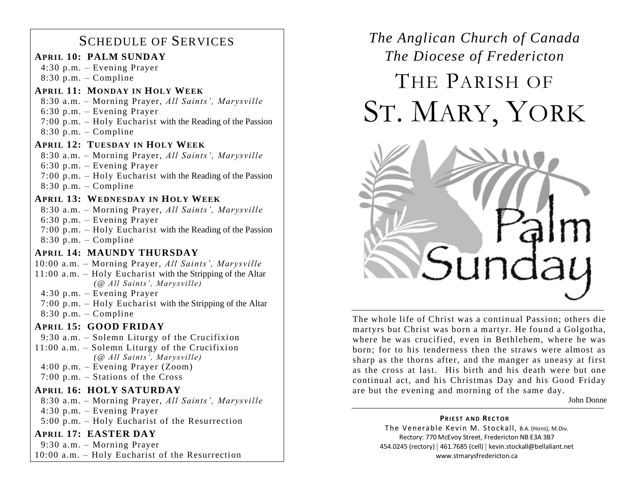## SCHEDULE OF SERVICES

#### **APRIL 10: PALM SUNDAY**

 4:30 p.m. – Evening Prayer  $8:30$  p.m. – Compline

#### **APRIL 11: MONDAY IN HOLY WEEK**

8:30 a.m. – Morning Prayer, *All Saints', Marysville*

6:30 p.m. – Evening Prayer

 7:00 p.m. – Holy Eucharist with the Reading of the Passion  $8:30$  p.m. – Compline

#### **APRIL 12: TUESDAY IN HOLY WEEK**

 8:30 a.m. – Morning Prayer, *All Saints', Marysville* 6:30 p.m. – Evening Prayer

 7:00 p.m. – Holy Eucharist with the Reading of the Passion  $8:30$  p.m. – Compline

#### **APRIL 13: WEDNESDAY IN HOLY WEEK**

 8:30 a.m. – Morning Prayer, *All Saints', Marysville* 6:30 p.m. – Evening Prayer

 7:00 p.m. – Holy Eucharist with the Reading of the Passion  $8:30$  p.m. – Compline

#### **APRIL 14: MAUNDY THURSDAY**

10:00 a.m. – Morning Prayer, *All Saints', Marysville*

- 11:00 a.m. Holy Eucharist with the Stripping of the Altar  *(@ All Saints', Marysville)*
- 4:30 p.m. Evening Prayer
- 7:00 p.m. Holy Eucharist with the Stripping of the Altar 8:30 p.m. – Compline

#### **APRIL 15: GOOD FRIDAY**

9:30 a.m. – Solemn Liturgy of the Crucifixion

- 11:00 a.m. Solemn Liturgy of the Crucifixion  *(@ All Saints', Marysville)*
- 4:00 p.m. Evening Prayer (Zoom)
- 7:00 p.m. Stations of the Cross

#### **APRIL 16: HOLY SATURDAY**

 8:30 a.m. – Morning Prayer, *All Saints', Marysville* 4:30 p.m. – Evening Prayer 5:00 p.m. – Holy Eucharist of the Resurrection

#### **APRIL 17: EASTER DAY**

 9:30 a.m. – Morning Prayer 10:00 a.m. – Holy Eucharist of the Resurrection

# *The Anglican Church of Canada The Diocese of Fredericton* THE PARISH OF ST. MARY, YORK



The whole life of Christ was a continual Passion; others die martyrs but Christ was born a martyr. He found a Golgotha, where he was crucified, even in Bethlehem, where he was born; for to his tenderness then the straws were almost as sharp as the thorns after, and the manger as uneasy at first as the cross at last. His birth and his death were but one continual act, and his Christmas Day and his Good Friday are but the evening and morning of the same day.

John Donne

#### **PRIEST AND RECTOR**

The Venerable Kevin M. Stockall, B.A. (Hons), M.Div. Rectory: 770 McEvoy Street, Fredericton NB E3A 3B7 454.0245 (rectory) | 461.7685 (cell) | kevin.stockall@bellaliant.net www.stmarysfredericton.ca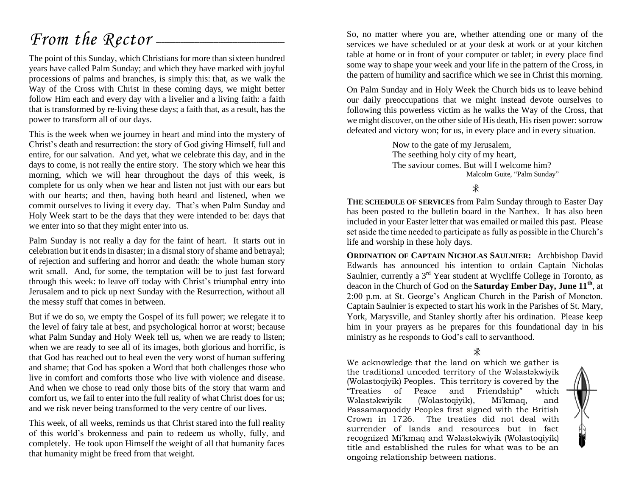## From the Rector --

The point of this Sunday, which Christians for more than sixteen hundred years have called Palm Sunday; and which they have marked with joyful processions of palms and branches*,* is simply this: that, as we walk the Way of the Cross with Christ in these coming days, we might better follow Him each and every day with a livelier and a living faith: a faith that is transformed by re-living these days; a faith that, as a result, has the power to transform all of our days.

This is the week when we journey in heart and mind into the mystery of Christ's death and resurrection: the story of God giving Himself, full and entire, for our salvation. And yet, what we celebrate this day, and in the days to come, is not really the entire story. The story which we hear this morning, which we will hear throughout the days of this week, is complete for us only when we hear and listen not just with our ears but with our hearts; and then, having both heard and listened, when we commit ourselves to living it every day. That's when Palm Sunday and Holy Week start to be the days that they were intended to be: days that we enter into so that they might enter into us.

Palm Sunday is not really a day for the faint of heart. It starts out in celebration but it ends in disaster; in a dismal story of shame and betrayal; of rejection and suffering and horror and death: the whole human story writ small. And, for some, the temptation will be to just fast forward through this week: to leave off today with Christ's triumphal entry into Jerusalem and to pick up next Sunday with the Resurrection, without all the messy stuff that comes in between.

But if we do so, we empty the Gospel of its full power; we relegate it to the level of fairy tale at best, and psychological horror at worst; because what Palm Sunday and Holy Week tell us, when we are ready to listen; when we are ready to see all of its images, both glorious and horrific, is that God has reached out to heal even the very worst of human suffering and shame; that God has spoken a Word that both challenges those who live in comfort and comforts those who live with violence and disease. And when we chose to read only those bits of the story that warm and comfort us, we fail to enter into the full reality of what Christ does for us; and we risk never being transformed to the very centre of our lives.

This week, of all weeks, reminds us that Christ stared into the full reality of this world's brokenness and pain to redeem us wholly, fully, and completely. He took upon Himself the weight of all that humanity faces that humanity might be freed from that weight.

So, no matter where you are, whether attending one or many of the services we have scheduled or at your desk at work or at your kitchen table at home or in front of your computer or tablet; in every place find some way to shape your week and your life in the pattern of the Cross, in the pattern of humility and sacrifice which we see in Christ this morning.

On Palm Sunday and in Holy Week the Church bids us to leave behind our daily preoccupations that we might instead devote ourselves to following this powerless victim as he walks the Way of the Cross, that we might discover, on the other side of His death, His risen power: sorrow defeated and victory won; for us, in every place and in every situation.

> Now to the gate of my Jerusalem, The seething holy city of my heart, The saviour comes. But will I welcome him? Malcolm Guite, "Palm Sunday"

> > $\ast$

**THE SCHEDULE OF SERVICES** from Palm Sunday through to Easter Day has been posted to the bulletin board in the Narthex. It has also been included in your Easter letter that was emailed or mailed this past. Please set aside the time needed to participate as fully as possible in the Church's life and worship in these holy days.

**ORDINATION OF CAPTAIN NICHOLAS SAULNIER:** Archbishop David Edwards has announced his intention to ordain Captain Nicholas Saulnier, currently a 3<sup>rd</sup> Year student at Wycliffe College in Toronto, as deacon in the Church of God on the **Saturday Ember Day, June 11th**, at 2:00 p.m. at St. George's Anglican Church in the Parish of Moncton. Captain Saulnier is expected to start his work in the Parishes of St. Mary, York, Marysville, and Stanley shortly after his ordination. Please keep him in your prayers as he prepares for this foundational day in his ministry as he responds to God's call to servanthood.

We acknowledge that the land on which we gather is the traditional unceded territory of the Wəlastəkwiyik (Wolastoqiyik) Peoples. This territory is covered by the "Treaties of Peace and Friendship" which Wəlastəkwiyik (Wolastoqiyik), Mi'kmaq, and Passamaquoddy Peoples first signed with the British Crown in 1726. The treaties did not deal with surrender of lands and resources but in fact recognized Mi'kmaq and Wəlastəkwiyik (Wolastoqiyik) title and established the rules for what was to be an ongoing relationship between nations.

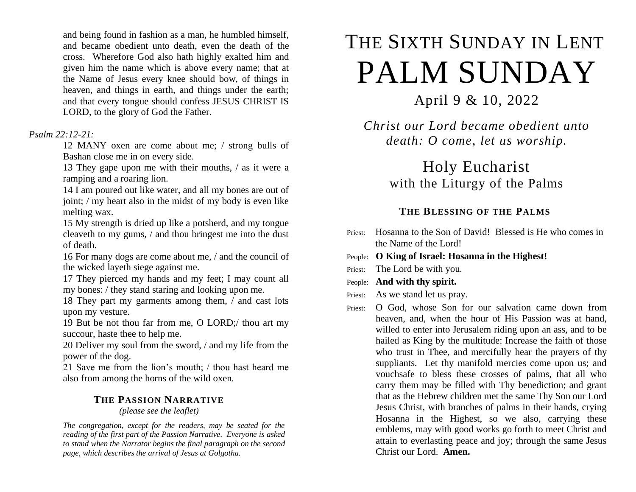and being found in fashion as a man, he humbled himself, and became obedient unto death, even the death of the cross. Wherefore God also hath highly exalted him and given him the name which is above every name; that at the Name of Jesus every knee should bow, of things in heaven, and things in earth, and things under the earth; and that every tongue should confess JESUS CHRIST IS LORD, to the glory of God the Father.

#### *Psalm 22:12-21:*

12 MANY oxen are come about me; / strong bulls of Bashan close me in on every side.

13 They gape upon me with their mouths, / as it were a ramping and a roaring lion.

14 I am poured out like water, and all my bones are out of joint; / my heart also in the midst of my body is even like melting wax.

15 My strength is dried up like a potsherd, and my tongue cleaveth to my gums, / and thou bringest me into the dust of death.

16 For many dogs are come about me, / and the council of the wicked layeth siege against me.

17 They pierced my hands and my feet; I may count all my bones: / they stand staring and looking upon me.

18 They part my garments among them, / and cast lots upon my vesture.

19 But be not thou far from me, O LORD;/ thou art my succour, haste thee to help me.

20 Deliver my soul from the sword, / and my life from the power of the dog.

21 Save me from the lion's mouth; / thou hast heard me also from among the horns of the wild oxen.

#### **THE PASSION NARRATIVE**

*(please see the leaflet)*

*The congregation, except for the readers, may be seated for the reading of the first part of the Passion Narrative. Everyone is asked to stand when the Narrator begins the final paragraph on the second page, which describes the arrival of Jesus at Golgotha.*

# THE SIXTH SUNDAY IN LENT PALM SUNDAY

### April 9 & 10, 2022

*Christ our Lord became obedient unto death: O come, let us worship.*

> Holy Eucharist with the Liturgy of the Palms

#### **THE BLESSING OF THE PALMS**

- Priest: Hosanna to the Son of David! Blessed is He who comes in the Name of the Lord!
- People: **O King of Israel: Hosanna in the Highest!**
- Priest: The Lord be with you.
- People: **And with thy spirit.**
- Priest: As we stand let us pray.
- Priest: O God, whose Son for our salvation came down from heaven, and, when the hour of His Passion was at hand, willed to enter into Jerusalem riding upon an ass, and to be hailed as King by the multitude: Increase the faith of those who trust in Thee, and mercifully hear the prayers of thy suppliants. Let thy manifold mercies come upon us; and vouchsafe to bless these crosses of palms, that all who carry them may be filled with Thy benediction; and grant that as the Hebrew children met the same Thy Son our Lord Jesus Christ, with branches of palms in their hands, crying Hosanna in the Highest, so we also, carrying these emblems, may with good works go forth to meet Christ and attain to everlasting peace and joy; through the same Jesus Christ our Lord. **Amen.**